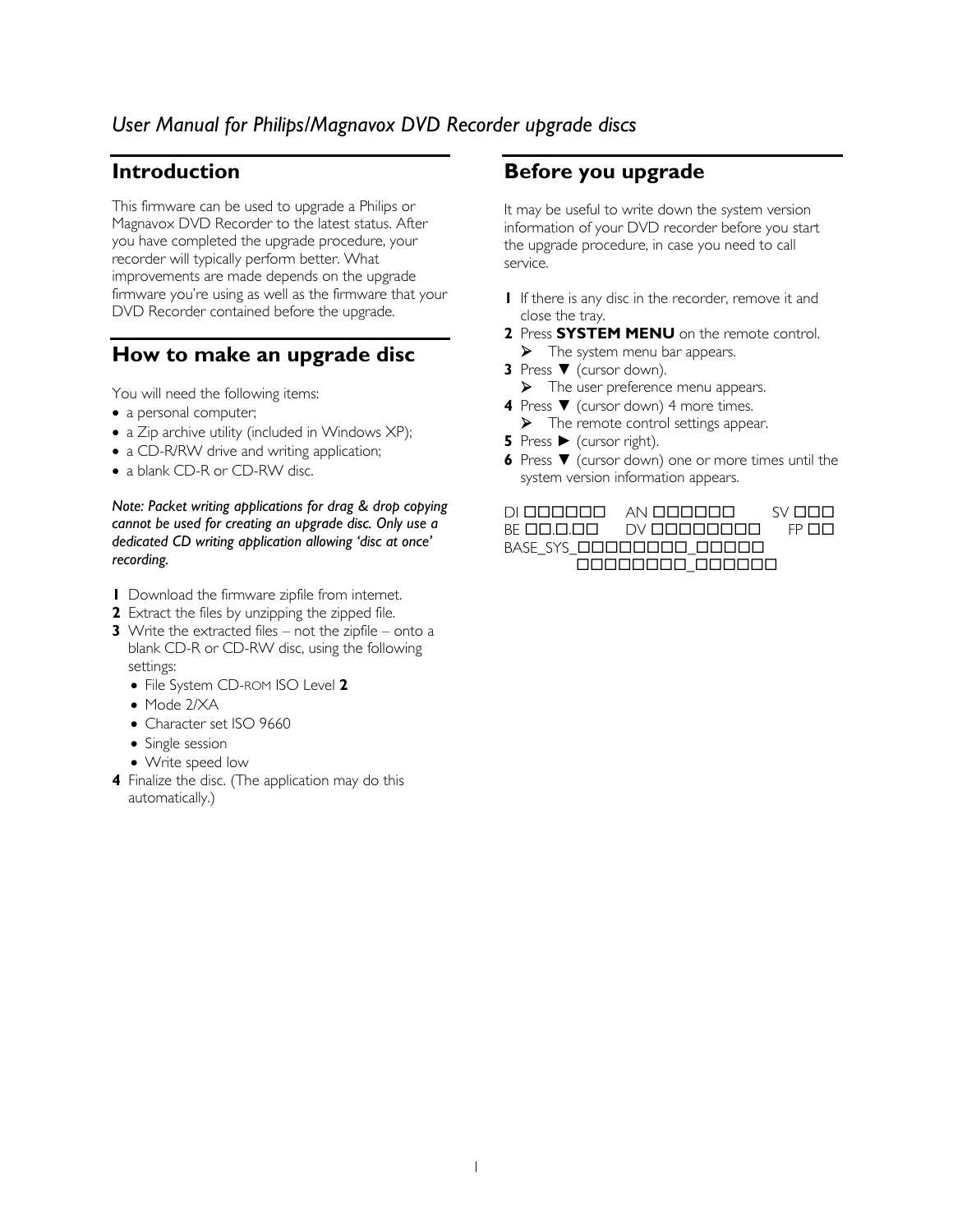# *User Manual for Philips/Magnavox DVD Recorder upgrade discs*

### **Introduction**

This firmware can be used to upgrade a Philips or Magnavox DVD Recorder to the latest status. After you have completed the upgrade procedure, your recorder will typically perform better. What improvements are made depends on the upgrade firmware you're using as well as the firmware that your DVD Recorder contained before the upgrade.

## **How to make an upgrade disc**

You will need the following items:

- a personal computer;
- a Zip archive utility (included in Windows XP);
- a CD-R/RW drive and writing application;
- a blank CD-R or CD-RW disc.

#### *Note: Packet writing applications for drag & drop copying cannot be used for creating an upgrade disc. Only use a dedicated CD writing application allowing 'disc at once' recording.*

- **1** Download the firmware zipfile from internet.
- **2** Extract the files by unzipping the zipped file.
- **3** Write the extracted files not the zipfile onto a blank CD-R or CD-RW disc, using the following settings:
	- File System CD-ROM ISO Level **2**
	- Mode 2/XA
	- Character set ISO 9660
	- Single session
	- Write speed low
- **4** Finalize the disc. (The application may do this automatically.)

## **Before you upgrade**

It may be useful to write down the system version information of your DVD recorder before you start the upgrade procedure, in case you need to call service.

- **1** If there is any disc in the recorder, remove it and close the tray.
- **2** Press **SYSTEM MENU** on the remote control.  $\blacktriangleright$  The system menu bar appears.
- **3** Press ▼ (cursor down).
	- $\triangleright$  The user preference menu appears.
- **4** Press ▼ (cursor down) 4 more times.
	- $\blacktriangleright$  The remote control settings appear.
- **5** Press ► (cursor right).
- **6** Press ▼ (cursor down) one or more times until the system version information appears.

#### DI AN SV

BE .. DV FP  $BASE\_SYS\_DDDDDDD\_DDDDD$ 00000000\_000000

1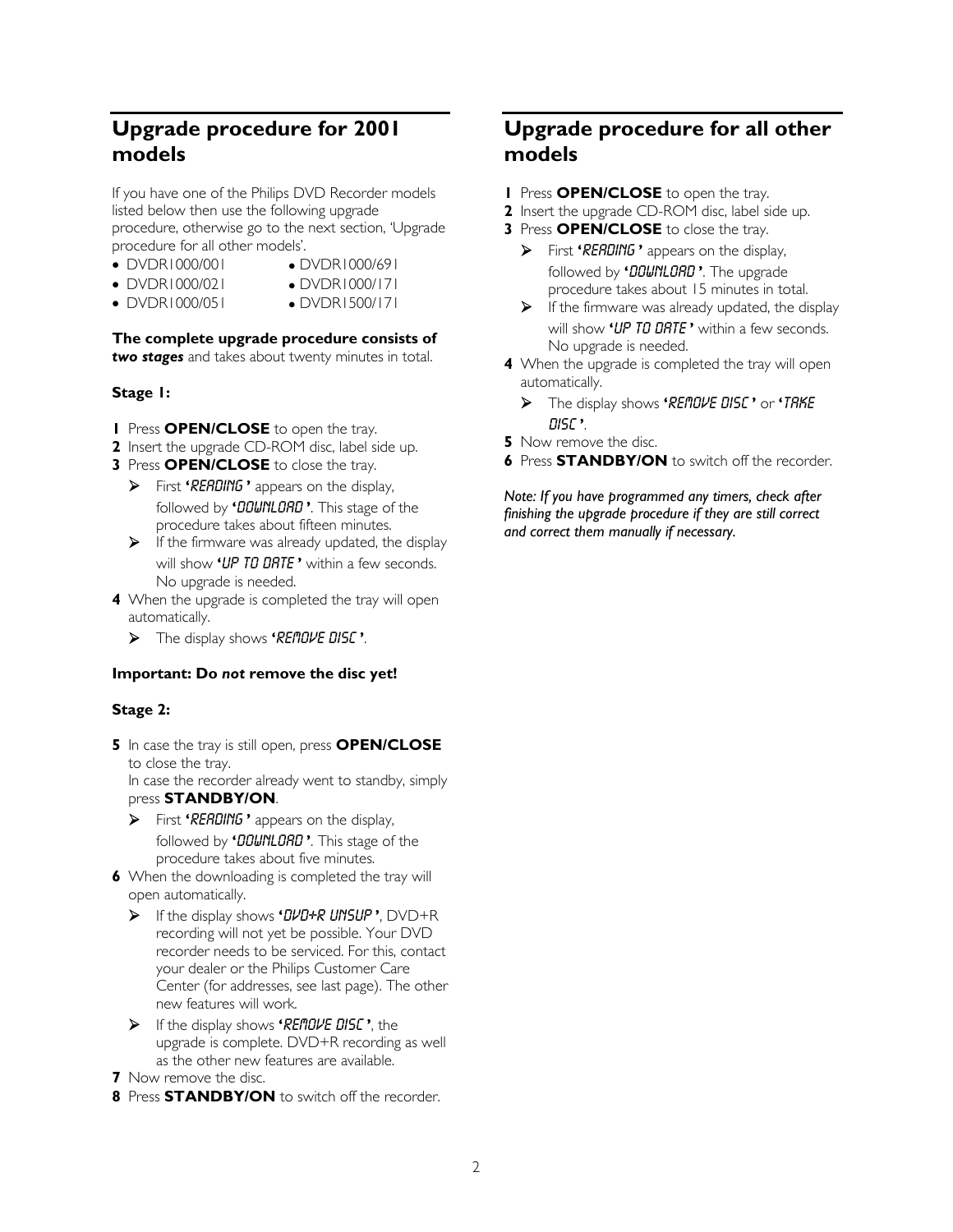# **Upgrade procedure for 2001 models**

If you have one of the Philips DVD Recorder models listed below then use the following upgrade procedure, otherwise go to the next section, 'Upgrade procedure for all other models'.

- 
- DVDR1000/001 z DVDR1000/691
- DVDR1000/021 DVDR1000/171
	-
- 
- DVDR1000/051 DVDR1500/171

## **The complete upgrade procedure consists of**

*two stages* and takes about twenty minutes in total.

### **Stage 1:**

- **1** Press **OPEN/CLOSE** to open the tray.
- **2** Insert the upgrade CD-ROM disc, label side up.
- **3** Press **OPEN/CLOSE** to close the tray.
	- ¾ First **'**READING **'** appears on the display, followed by **'**DOWNLOAD **'**. This stage of the procedure takes about fifteen minutes.
	- $\triangleright$  If the firmware was already updated, the display will show **'**UP TO DATE **'** within a few seconds. No upgrade is needed.
- **4** When the upgrade is completed the tray will open automatically.
	- ¾ The display shows **'**REMOVE DISC **'**.

#### **Important: Do** *not* **remove the disc yet!**

#### **Stage 2:**

**5** In case the tray is still open, press **OPEN/CLOSE**  to close the tray.

In case the recorder already went to standby, simply press **STANDBY/ON**.

- ¾ First **'**READING **'** appears on the display, followed by **'**DOWNLOAD **'**. This stage of the procedure takes about five minutes.
- **6** When the downloading is completed the tray will open automatically.
	- ¾ If the display shows **'**DVD+R UNSUP **'**, DVD+R recording will not yet be possible. Your DVD recorder needs to be serviced. For this, contact your dealer or the Philips Customer Care Center (for addresses, see last page). The other new features will work.
	- ¾ If the display shows **'**REMOVE DISC **'**, the upgrade is complete. DVD+R recording as well as the other new features are available.
- **7** Now remove the disc.
- **8** Press **STANDBY/ON** to switch off the recorder.

# **Upgrade procedure for all other models**

- **1** Press **OPEN/CLOSE** to open the tray.
- **2** Insert the upgrade CD-ROM disc, label side up.
- **3** Press **OPEN/CLOSE** to close the tray.
	- ¾ First **'**READING **'** appears on the display, followed by **'**DOWNLOAD **'**. The upgrade procedure takes about 15 minutes in total.
	- $\triangleright$  If the firmware was already updated, the display will show **'**UP TO DATE **'** within a few seconds. No upgrade is needed.
- **4** When the upgrade is completed the tray will open automatically.
	- ¾ The display shows **'**REMOVE DISC **'** or **'**TAKE DISC **'**.
- **5** Now remove the disc.
- **6** Press **STANDBY/ON** to switch off the recorder.

*Note: If you have programmed any timers, check after finishing the upgrade procedure if they are still correct and correct them manually if necessary.*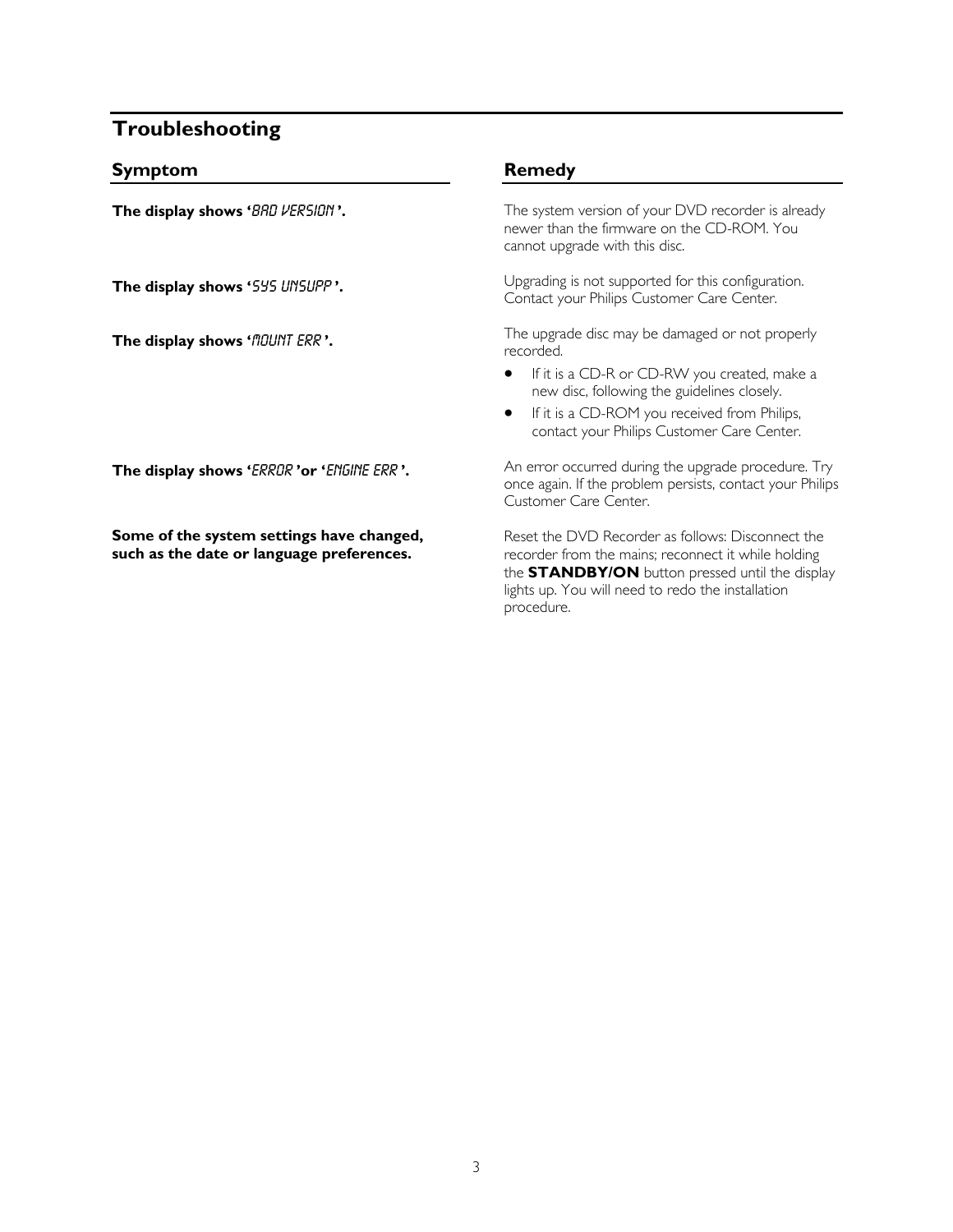## **Troubleshooting**

#### **Symptom**

**The display shows '**BAD VERSION **'.**

**The display shows '**SYS UNSUPP **'.** 

**The display shows 'MOUNT ERR'.** 

**The display shows '**ERROR **'or '**ENGINE ERR **'.** 

**Some of the system settings have changed, such as the date or language preferences.** 

### **Remedy**

The system version of your DVD recorder is already newer than the firmware on the CD-ROM. You cannot upgrade with this disc.

Upgrading is not supported for this configuration. Contact your Philips Customer Care Center.

The upgrade disc may be damaged or not properly recorded.

- If it is a CD-R or CD-RW you created, make a new disc, following the guidelines closely.
- If it is a CD-ROM you received from Philips, contact your Philips Customer Care Center.

An error occurred during the upgrade procedure. Try once again. If the problem persists, contact your Philips Customer Care Center.

Reset the DVD Recorder as follows: Disconnect the recorder from the mains; reconnect it while holding the **STANDBY/ON** button pressed until the display lights up. You will need to redo the installation procedure.